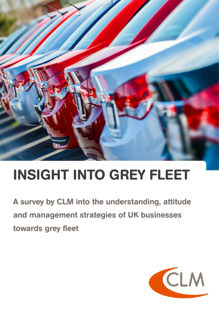

# INSIGHT INTO GREY FLEET

A survey by CLM into the understanding, attitude and management strategies of UK businesses towards grey fleet

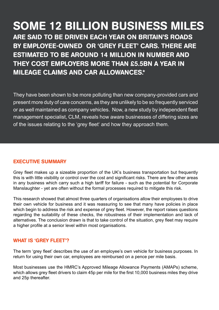# SOME 12 BILLION BUSINESS MILES ARE SAID TO BE DRIVEN EACH YEAR ON BRITAIN'S ROADS BY EMPLOYEE-OWNED OR 'GREY FLEET' CARS. THERE ARE ESTIMATED TO BE AROUND 14 MILLION IN NUMBER AND THEY COST EMPLOYERS MORE THAN £5.5BN A YEAR IN MILEAGE CLAIMS AND CAR ALLOWANCES.\*

They have been shown to be more polluting than new company-provided cars and present more duty of care concerns, as they are unlikely to be so frequently serviced or as well maintained as company vehicles. Now, a new study by independent fleet management specialist, CLM, reveals how aware businesses of differing sizes are of the issues relating to the 'grey fleet' and how they approach them.

#### EXECUTIVE SUMMARY

Grey fleet makes up a sizeable proportion of the UK's business transportation but frequently this is with little visibility or control over the cost and significant risks. There are few other areas in any business which carry such a high tariff for failure - such as the potential for Corporate Manslaughter - yet are often without the formal processes required to mitigate this risk.

This research showed that almost three quarters of organisations allow their employees to drive their own vehicle for business and it was reassuring to see that many have policies in place which begin to address the risk and expense of grey fleet. However, the report raises questions regarding the suitability of these checks, the robustness of their implementation and lack of alternatives. The conclusion drawn is that to take control of the situation, grey fleet may require a higher profile at a senior level within most organisations.

#### WHAT IS 'GREY FLEET'?

The term 'grey fleet' describes the use of an employee's own vehicle for business purposes. In return for using their own car, employees are reimbursed on a pence per mile basis.

Most businesses use the HMRC's Approved Mileage Allowance Payments (AMAPs) scheme, which allows grey fleet drivers to claim 45p per mile for the first 10,000 business miles they drive and 25p thereafter.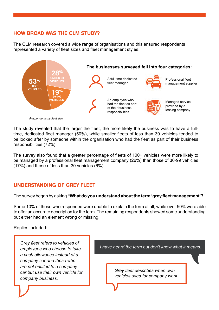#### HOW BROAD WAS THE CLM STUDY?

The CLM research covered a wide range of organisations and this ensured respondents represented a variety of fleet sizes and fleet management styles.



The study revealed that the larger the fleet, the more likely the business was to have a fulltime, dedicated fleet manager (50%), while smaller fleets of less than 30 vehicles tended to be looked after by someone within the organisation who had the fleet as part of their business responsibilities (72%).

The survey also found that a greater percentage of fleets of 100+ vehicles were more likely to be managed by a professional fleet management company (26%) than those of 30-99 vehicles (17%) and those of less than 30 vehicles (6%).

#### UNDERSTANDING OF GREY FLEET

The survey began by asking **"What do you understand about the term 'grey fleet management'?"**

Some 10% of those who responded were unable to explain the term at all, while over 50% were able to offer an accurate description for the term. The remaining respondents showed some understanding but either had an element wrong or missing.

Replies included:

*Grey fleet refers to vehicles of employees who choose to take a cash allowance instead of a company car and those who are not entitled to a company car but use their own vehicle for company business.*

*I have heard the term but don't know what it means.*

*Grey fleet describes when own vehicles used for company work.*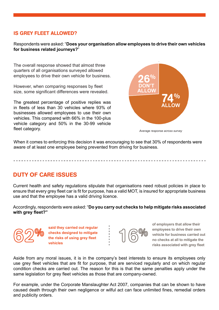#### IS GREY FLEET ALLOWED?

Respondents were asked: "**Does your organisation allow employees to drive their own vehicles for business related journeys?**"

The overall response showed that almost three quarters of all organisations surveyed allowed employees to drive their own vehicle for business.

However, when comparing responses by fleet size, some significant differences were revealed.

The greatest percentage of positive replies was in fleets of less than 30 vehicles where 93% of businesses allowed employees to use their own vehicles. This compared with 66% in the 100-plus vehicle category and 50% in the 30-99 vehicle fleet category. *Average response across survey*



When it comes to enforcing this decision it was encouraging to see that 30% of respondents were aware of at least one employee being prevented from driving for business.

DUTY OF CARE ISSUES

Current health and safety regulations stipulate that organisations need robust policies in place to ensure that every grey fleet car is fit for purpose, has a valid MOT, is insured for appropriate business use and that the employee has a valid driving licence.

Accordingly, respondents were asked: "**Do you carry out checks to help mitigate risks associated with grey fleet?"**

**said they carried out regular checks designed to mitigate the risks of using grey fleet vehicles**



**of employers that allow their employees to drive their own vehicle for business carried out no checks at all to mitigate the risks associated with grey fleet**

Aside from any moral issues, it is in the company's best interests to ensure its employees only use grey fleet vehicles that are fit for purpose, that are serviced regularly and on which regular condition checks are carried out. The reason for this is that the same penalties apply under the same legislation for grey fleet vehicles as those that are company-owned.

For example, under the Corporate Manslaughter Act 2007, companies that can be shown to have caused death through their own negligence or wilful act can face unlimited fines, remedial orders and publicity orders.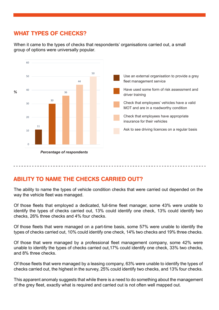# WHAT TYPES OF CHECKS?

When it came to the types of checks that respondents' organisations carried out, a small group of options were universally popular.



### ABILITY TO NAME THE CHECKS CARRIED OUT?

The ability to name the types of vehicle condition checks that were carried out depended on the way the vehicle fleet was managed.

Of those fleets that employed a dedicated, full-time fleet manager, some 43% were unable to identify the types of checks carried out, 13% could identify one check, 13% could identify two checks, 26% three checks and 4% four checks.

Of those fleets that were managed on a part-time basis, some 57% were unable to identify the types of checks carried out, 10% could identify one check, 14% two checks and 19% three checks.

Of those that were managed by a professional fleet management company, some 42% were unable to identify the types of checks carried out,17% could identify one check, 33% two checks, and 8% three checks.

Of those fleets that were managed by a leasing company, 63% were unable to identify the types of checks carried out, the highest in the survey, 25% could identify two checks, and 13% four checks.

This apparent anomaly suggests that while there is a need to do something about the management of the grey fleet, exactly what is required and carried out is not often well mapped out.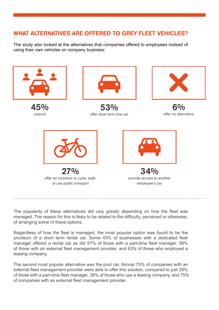# WHAT ALTERNATIVES ARE OFFERED TO GREY FLEET VEHICLES?

The study also looked at the alternatives that companies offered to employees instead of using their own vehicles on company business:



The popularity of these alternatives did vary greatly depending on how the fleet was managed. The reason for this is likely to be related to the difficulty, perceived or otherwise, of arranging some of these options.

Regardless of how the fleet is managed, the most popular option was found to be the provision of a short term rental car. Some 43% of businesses with a dedicated fleet manager offered a rental car as did 57% of those with a part-time fleet manager, 58% of those with an external fleet management provider, and 63% of those who employed a leasing company.

The second most popular alternative was the pool car. Almost 75% of companies with an external fleet management provider were able to offer this solution, compared to just 29% of those with a part-time fleet manager, 38% of those who use a leasing company, and 75% of companies with an external fleet management provider.